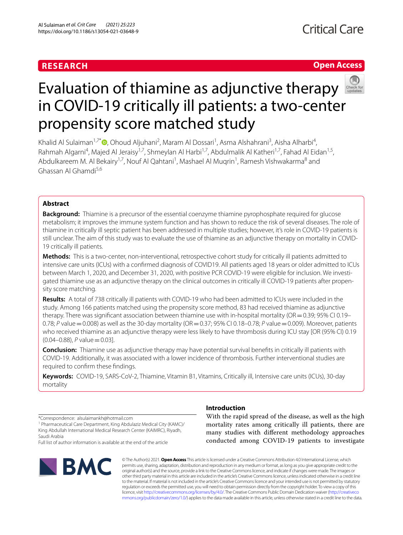# **RESEARCH**

# **Open Access**



# Evaluation of thiamine as adjunctive therapy in COVID-19 critically ill patients: a two-center propensity score matched study

Khalid Al Sulaiman<sup>1,7[\\*](http://orcid.org/0000-0002-5547-2043)</sup> (D, Ohoud Aljuhani<sup>2</sup>, Maram Al Dossari<sup>1</sup>, Asma Alshahrani<sup>3</sup>, Aisha Alharbi<sup>4</sup>, Rahmah Algarni<sup>4</sup>, Majed Al Jeraisy<sup>1,7</sup>, Shmeylan Al Harbi<sup>1,7</sup>, Abdulmalik Al Katheri<sup>1,7</sup>, Fahad Al Eidan<sup>1,5</sup>, Abdulkareem M. Al Bekairy<sup>1,7</sup>, Nouf Al Qahtani<sup>1</sup>, Mashael Al Muqrin<sup>1</sup>, Ramesh Vishwakarma<sup>8</sup> and Ghassan Al Ghamdi5,6

# **Abstract**

**Background:** Thiamine is a precursor of the essential coenzyme thiamine pyrophosphate required for glucose metabolism; it improves the immune system function and has shown to reduce the risk of several diseases. The role of thiamine in critically ill septic patient has been addressed in multiple studies; however, it's role in COVID-19 patients is still unclear. The aim of this study was to evaluate the use of thiamine as an adjunctive therapy on mortality in COVID-19 critically ill patients.

**Methods:** This is a two-center, non-interventional, retrospective cohort study for critically ill patients admitted to intensive care units (ICUs) with a confrmed diagnosis of COVID19. All patients aged 18 years or older admitted to ICUs between March 1, 2020, and December 31, 2020, with positive PCR COVID-19 were eligible for inclusion. We investigated thiamine use as an adjunctive therapy on the clinical outcomes in critically ill COVID-19 patients after propensity score matching.

**Results:** A total of 738 critically ill patients with COVID-19 who had been admitted to ICUs were included in the study. Among 166 patients matched using the propensity score method, 83 had received thiamine as adjunctive therapy. There was signifcant association between thiamine use with in-hospital mortality (OR=0.39; 95% CI 0.19– 0.78; *P* value = 0.008) as well as the 30-day mortality (OR = 0.37; 95% CI 0.18–0.78; *P* value = 0.009). Moreover, patients who received thiamine as an adjunctive therapy were less likely to have thrombosis during ICU stay [OR (95% CI) 0.19 (0.04–0.88), *P* value=0.03].

**Conclusion:** Thiamine use as adjunctive therapy may have potential survival benefts in critically ill patients with COVID-19. Additionally, it was associated with a lower incidence of thrombosis. Further interventional studies are required to confrm these fndings.

**Keywords:** COVID-19, SARS-CoV-2, Thiamine, Vitamin B1, Vitamins, Critically ill, Intensive care units (ICUs), 30-day mortality

\*Correspondence: alsulaimankh@hotmail.com

<sup>1</sup> Pharmaceutical Care Department, King Abdulaziz Medical City (KAMC)/ King Abdullah International Medical Research Center (KAIMRC), Riyadh, Saudi Arabia

Full list of author information is available at the end of the article



# **Introduction**

With the rapid spread of the disease, as well as the high mortality rates among critically ill patients, there are many studies with diferent methodology approaches conducted among COVID-19 patients to investigate

© The Author(s) 2021. **Open Access** This article is licensed under a Creative Commons Attribution 4.0 International License, which permits use, sharing, adaptation, distribution and reproduction in any medium or format, as long as you give appropriate credit to the original author(s) and the source, provide a link to the Creative Commons licence, and indicate if changes were made. The images or other third party material in this article are included in the article's Creative Commons licence, unless indicated otherwise in a credit line to the material. If material is not included in the article's Creative Commons licence and your intended use is not permitted by statutory regulation or exceeds the permitted use, you will need to obtain permission directly from the copyright holder. To view a copy of this licence, visit [http://creativecommons.org/licenses/by/4.0/.](http://creativecommons.org/licenses/by/4.0/) The Creative Commons Public Domain Dedication waiver ([http://creativeco](http://creativecommons.org/publicdomain/zero/1.0/) [mmons.org/publicdomain/zero/1.0/](http://creativecommons.org/publicdomain/zero/1.0/)) applies to the data made available in this article, unless otherwise stated in a credit line to the data.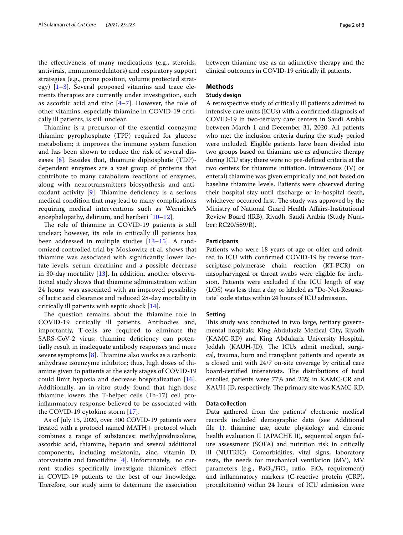the efectiveness of many medications (e.g., steroids, antivirals, immunomodulators) and respiratory support strategies (e.g., prone position, volume protected strategy)  $[1-3]$  $[1-3]$ . Several proposed vitamins and trace elements therapies are currently under investigation, such as ascorbic acid and zinc  $[4-7]$  $[4-7]$ . However, the role of other vitamins, especially thiamine in COVID-19 critically ill patients, is still unclear.

Thiamine is a precursor of the essential coenzyme thiamine pyrophosphate (TPP) required for glucose metabolism; it improves the immune system function and has been shown to reduce the risk of several diseases [[8\]](#page-7-4). Besides that, thiamine diphosphate (TDP) dependent enzymes are a vast group of proteins that contribute to many catabolism reactions of enzymes, along with neurotransmitters biosynthesis and antioxidant activity  $[9]$  $[9]$ . Thiamine deficiency is a serious medical condition that may lead to many complications requiring medical interventions such as Wernicke's encephalopathy, delirium, and beriberi [\[10](#page-7-6)[–12\]](#page-7-7).

The role of thiamine in COVID-19 patients is still unclear; however, its role in critically ill patients has been addressed in multiple studies [[13](#page-7-8)[–15](#page-7-9)]. A randomized controlled trial by Moskowitz et al. shows that thiamine was associated with signifcantly lower lactate levels, serum creatinine and a possible decrease in 30-day mortality [[13\]](#page-7-8). In addition, another observational study shows that thiamine administration within 24 hours was associated with an improved possibility of lactic acid clearance and reduced 28-day mortality in critically ill patients with septic shock [\[14](#page-7-10)].

The question remains about the thiamine role in COVID-19 critically ill patients. Antibodies and, importantly, T-cells are required to eliminate the SARS-CoV-2 virus; thiamine defciency can potentially result in inadequate antibody responses and more severe symptoms  $[8]$  $[8]$ . Thiamine also works as a carbonic anhydrase isoenzyme inhibitor; thus, high doses of thiamine given to patients at the early stages of COVID-19 could limit hypoxia and decrease hospitalization [[16](#page-7-11)]. Additionally, an in-vitro study found that high-dose thiamine lowers the T-helper cells  $(Th-17)$  cell proinfammatory response believed to be associated with the COVID-19 cytokine storm [[17\]](#page-7-12).

As of July 15, 2020, over 300 COVID-19 patients were treated with a protocol named MATH+ protocol which combines a range of substances: methylprednisolone, ascorbic acid, thiamine, heparin and several additional components, including melatonin, zinc, vitamin D, atorvastatin and famotidine [\[4](#page-7-2)]. Unfortunately, no current studies specifcally investigate thiamine's efect in COVID-19 patients to the best of our knowledge. Therefore, our study aims to determine the association between thiamine use as an adjunctive therapy and the clinical outcomes in COVID-19 critically ill patients.

## **Methods**

# **Study design**

A retrospective study of critically ill patients admitted to intensive care units (ICUs) with a confrmed diagnosis of COVID-19 in two-tertiary care centers in Saudi Arabia between March 1 and December 31, 2020. All patients who met the inclusion criteria during the study period were included. Eligible patients have been divided into two groups based on thiamine use as adjunctive therapy during ICU stay; there were no pre-defned criteria at the two centers for thiamine initiation. Intravenous (IV) or enteral) thiamine was given empirically and not based on baseline thiamine levels. Patients were observed during their hospital stay until discharge or in-hospital death, whichever occurred first. The study was approved by the Ministry of National Guard Health Afairs-Institutional Review Board (IRB), Riyadh, Saudi Arabia (Study Number: RC20/589/R).

#### **Participants**

Patients who were 18 years of age or older and admitted to ICU with confrmed COVID-19 by reverse transcriptase-polymerase chain reaction (RT-PCR) on nasopharyngeal or throat swabs were eligible for inclusion. Patients were excluded if the ICU length of stay (LOS) was less than a day or labeled as "Do-Not-Resuscitate" code status within 24 hours of ICU admission.

#### **Setting**

This study was conducted in two large, tertiary governmental hospitals; King Abdulaziz Medical City, Riyadh (KAMC-RD) and King Abdulaziz University Hospital, Jeddah (KAUH-JD). The ICUs admit medical, surgical, trauma, burn and transplant patients and operate as a closed unit with 24/7 on-site coverage by critical care board-certified intensivists. The distributions of total enrolled patients were 77% and 23% in KAMC-CR and KAUH-JD, respectively. The primary site was KAMC-RD.

#### **Data collection**

Data gathered from the patients' electronic medical records included demographic data (see Additional fle [1\)](#page-6-0), thiamine use, acute physiology and chronic health evaluation II (APACHE II), sequential organ failure assessment (SOFA) and nutrition risk in critically ill (NUTRIC). Comorbidities, vital signs, laboratory tests, the needs for mechanical ventilation (MV), MV parameters (e.g., PaO<sub>2</sub>/FiO<sub>2</sub> ratio, FiO<sub>2</sub> requirement) and infammatory markers (C-reactive protein (CRP), procalcitonin) within 24 hours of ICU admission were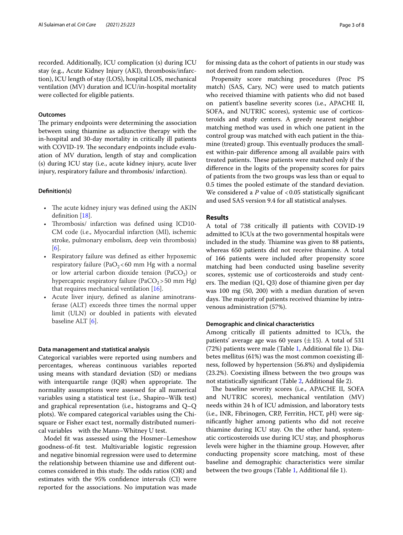recorded. Additionally, ICU complication (s) during ICU stay (e.g., Acute Kidney Injury (AKI), thrombosis/infarction), ICU length of stay (LOS), hospital LOS, mechanical ventilation (MV) duration and ICU/in-hospital mortality were collected for eligible patients.

# **Outcomes**

The primary endpoints were determining the association between using thiamine as adjunctive therapy with the in-hospital and 30-day mortality in critically ill patients with COVID-19. The secondary endpoints include evaluation of MV duration, length of stay and complication (s) during ICU stay (i.e., acute kidney injury, acute liver injury, respiratory failure and thrombosis/ infarction).

# **Defnition(s)**

- The acute kidney injury was defined using the AKIN definition [\[18\]](#page-7-13).
- Thrombosis/ infarction was defined using ICD10-CM code (i.e., Myocardial infarction (MI), ischemic stroke, pulmonary embolism, deep vein thrombosis) [[6\]](#page-7-14).
- Respiratory failure was defned as either hypoxemic respiratory failure (PaO<sub>2</sub><60 mm Hg with a normal or low arterial carbon dioxide tension (PaCO<sub>2</sub>) or hypercapnic respiratory failure (PaCO<sub>2</sub>>50 mm Hg) that requires mechanical ventilation [\[16](#page-7-11)].
- Acute liver injury, defned as alanine aminotransferase (ALT) exceeds three times the normal upper limit (ULN) or doubled in patients with elevated baseline ALT [[6\]](#page-7-14).

# **Data management and statistical analysis**

Categorical variables were reported using numbers and percentages, whereas continuous variables reported using means with standard deviation (SD) or medians with interquartile range  $(IQR)$  when appropriate. The normality assumptions were assessed for all numerical variables using a statistical test (i.e., Shapiro–Wilk test) and graphical representation (i.e., histograms and Q–Q plots). We compared categorical variables using the Chisquare or Fisher exact test, normally distributed numerical variables with the Mann–Whitney U test.

Model ft was assessed using the Hosmer–Lemeshow goodness-of-ft test. Multivariable logistic regression and negative binomial regression were used to determine the relationship between thiamine use and diferent outcomes considered in this study. The odds ratios (OR) and estimates with the 95% confdence intervals (CI) were reported for the associations. No imputation was made for missing data as the cohort of patients in our study was not derived from random selection.

Propensity score matching procedures (Proc PS match) (SAS, Cary, NC) were used to match patients who received thiamine with patients who did not based on patient's baseline severity scores (i.e., APACHE II, SOFA, and NUTRIC scores), systemic use of corticosteroids and study centers. A greedy nearest neighbor matching method was used in which one patient in the control group was matched with each patient in the thiamine (treated) group. This eventually produces the smallest within-pair diference among all available pairs with treated patients. These patients were matched only if the diference in the logits of the propensity scores for pairs of patients from the two groups was less than or equal to 0.5 times the pooled estimate of the standard deviation. We considered a  $P$  value of  $< 0.05$  statistically significant and used SAS version 9.4 for all statistical analyses.

## **Results**

A total of 738 critically ill patients with COVID-19 admitted to ICUs at the two governmental hospitals were included in the study. Thiamine was given to 88 patients, whereas 650 patients did not receive thiamine. A total of 166 patients were included after propensity score matching had been conducted using baseline severity scores, systemic use of corticosteroids and study centers. The median  $(Q1, Q3)$  dose of thiamine given per day was 100 mg (50, 200) with a median duration of seven days. The majority of patients received thiamine by intravenous administration (57%).

#### **Demographic and clinical characteristics**

Among critically ill patients admitted to ICUs, the patients' average age was 60 years  $(\pm 15)$ . A total of 531 (72%) patients were male (Table [1](#page-3-0), Additional fle 1). Diabetes mellitus (61%) was the most common coexisting illness, followed by hypertension (56.8%) and dyslipidemia (23.2%). Coexisting illness between the two groups was not statistically signifcant (Table [2](#page-4-0), Additional fle 2).

The baseline severity scores (i.e., APACHE II, SOFA and NUTRIC scores), mechanical ventilation (MV) needs within 24 h of ICU admission, and laboratory tests (i.e., INR, Fibrinogen, CRP, Ferritin, HCT, pH) were signifcantly higher among patients who did not receive thiamine during ICU stay. On the other hand, systematic corticosteroids use during ICU stay, and phosphorus levels were higher in the thiamine group. However, after conducting propensity score matching, most of these baseline and demographic characteristics were similar between the two groups (Table [1,](#page-3-0) Additional fle 1).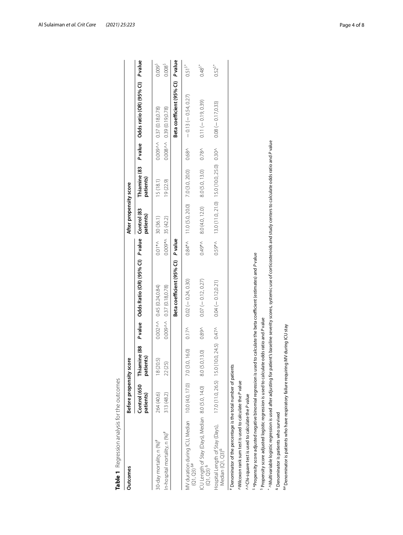| <b>Outcomes</b>                                                                                                                                                                          |                           |                                                                         |                   |                                                                   |           |                             |                                           |                   |                                        |                      |
|------------------------------------------------------------------------------------------------------------------------------------------------------------------------------------------|---------------------------|-------------------------------------------------------------------------|-------------------|-------------------------------------------------------------------|-----------|-----------------------------|-------------------------------------------|-------------------|----------------------------------------|----------------------|
|                                                                                                                                                                                          | Before propensity score   |                                                                         |                   |                                                                   |           | After propensity score      |                                           |                   |                                        |                      |
|                                                                                                                                                                                          | Control (650<br>patients) | patients)                                                               |                   | Thiamine (88 P value Odds Ratio (OR) (95% CI) P value Control (83 |           | patients)                   | Thiamine (83<br>patients)                 |                   | P value Odds ratio (OR) (95% CI)       | <b>Pvalue</b>        |
| 30-day mortality, n (%) <sup>#</sup>                                                                                                                                                     | 264 (40.6)                | 6<br>18 (20.                                                            |                   | $0.002 \wedge \wedge 0.45$ (0.24,0.84)                            | $0.01**$  | 30 (36.1)                   | 15(18.1)                                  |                   | $0.009 \wedge \wedge 0.37(0.18, 0.78)$ | 0.009 <sup>5</sup>   |
| In-hospital mortality, n (%) <sup>#</sup>                                                                                                                                                | 313 (48.2)                | 22 (25)                                                                 |                   | $0.009 \wedge \wedge 0.37(0.18, 0.78)$                            |           | $0.009$ * $\land$ 35 (42.2) | 19(22.9)                                  |                   | $0.008 \wedge \wedge 0.39(0.19, 0.78)$ | $0.008^{5}$          |
|                                                                                                                                                                                          |                           |                                                                         |                   | Beta coefficient (95% CI)                                         | P value   |                             |                                           |                   | Beta coefficient (95% CI) P value      |                      |
| MV duration during ICU, Median 10.0 (4.0, 17.0)<br>$(Q1, Q3)$ <sup>8#</sup>                                                                                                              |                           | 7.0 (3.0, 16.0)                                                         | 0.17 <sub>N</sub> | $0.02 (-0.24, 0.30)$                                              | $0.84**$  | 11.0 (5.0, 20.0)            | 7.0 (3.0, 20.0)                           | 0.68 <sup>0</sup> | $-0.13(-0.54, 0.27)$                   | $0.51^{5*}$          |
| ICU Length of Stay (Days), Median 8.0 (5.0, 14.0)<br>$(Q1, Q3)$ &                                                                                                                        |                           | 8.0 (5.0,13.0)                                                          | 0.89 <sub>0</sub> | $0.07 (-0.12, 0.27)$                                              | $0.49*$   | 8.0 (4.0, 12.0)             | 8.0 (5.0, 13.0)                           | 0.78 <sub>N</sub> | $0.11 (-0.19, 0.39)$                   | $0.48^{\frac{5}{3}}$ |
| Hospital Length of Stay (Days),<br>Median (Q1, Q3) <sup>&amp;</sup>                                                                                                                      |                           | $17.0(11.0, 26.5)$ 15.0 (10.0, 24.5) 0.47 <sup><math>\land</math></sup> |                   | $0.04 (-0.12, 0.21)$                                              | $0.59$ *^ |                             | 13.0 (11.0, 21.0) 15.0 (10.0, 25.0) 0.30^ |                   | $0.08(-0.17, 0.33)$                    | $0.52^{5*}$          |
| Denominator of the percentage is the total number of patients                                                                                                                            |                           |                                                                         |                   |                                                                   |           |                             |                                           |                   |                                        |                      |
| AWilcoxon rank sum test is used to calculate the P value                                                                                                                                 |                           |                                                                         |                   |                                                                   |           |                             |                                           |                   |                                        |                      |
| ^^Chi-square test is used to calculate the P value                                                                                                                                       |                           |                                                                         |                   |                                                                   |           |                             |                                           |                   |                                        |                      |
| <sup>s</sup> *Propensity score adjusted negative binomial regression is used                                                                                                             |                           |                                                                         |                   | to calculate the beta coefficient (estimates) and P value         |           |                             |                                           |                   |                                        |                      |
| Propensity score adjusted logistic regression is used to calculate odds ratio and P value                                                                                                |                           |                                                                         |                   |                                                                   |           |                             |                                           |                   |                                        |                      |
| ^Multivariable logistic regression is used after adjusting for patient's baseline severity scores, systemic use of corticosteroids and study centers to calculate odds ratio and P value |                           |                                                                         |                   |                                                                   |           |                             |                                           |                   |                                        |                      |
| <sup>&amp;</sup> Denominator is patients who survived                                                                                                                                    |                           |                                                                         |                   |                                                                   |           |                             |                                           |                   |                                        |                      |
| <sup>64</sup> Denominator is patients who have respiratory failure requiring                                                                                                             |                           | MV during ICU stay                                                      |                   |                                                                   |           |                             |                                           |                   |                                        |                      |

<span id="page-3-0"></span>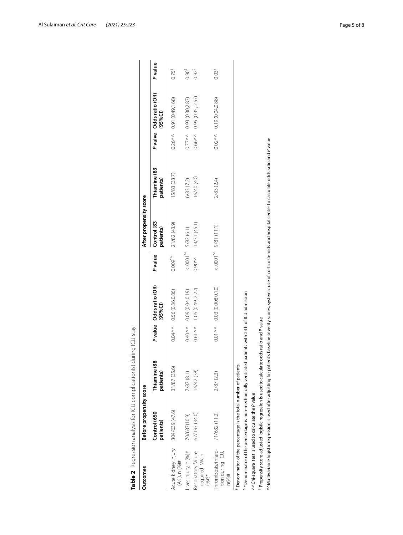| Outcomes                                            | Before propensity score                                                                                                                     |                                                                                           |          |                                        |            | After propensity score      |                                                                                                                                                                                             |                                       |                      |
|-----------------------------------------------------|---------------------------------------------------------------------------------------------------------------------------------------------|-------------------------------------------------------------------------------------------|----------|----------------------------------------|------------|-----------------------------|---------------------------------------------------------------------------------------------------------------------------------------------------------------------------------------------|---------------------------------------|----------------------|
|                                                     | Control (650<br>patients)                                                                                                                   | Thiamine (88<br>patients)                                                                 |          | P value Odds ratio (OR)<br>(95%C)      | Pvalue     | Control (83<br>patients)    | Thiamine (83<br>patients)                                                                                                                                                                   | P valve Odds ratio (OR)<br>(95%C)     | Pvalue               |
| Acute kidney injury<br>$(AK)$ , n $(96)$ #          | 304/639 (47.6)                                                                                                                              | 31/87 (35.6)                                                                              |          | $0.04 \wedge \wedge 0.56$ (0.36,0.86)  | $0.009^*$  | 21/82 (43.9)                | 5/83 (33.7)                                                                                                                                                                                 | $0.26 \wedge \wedge 0.91(0.49, 1.68)$ | $0.75^{\frac{5}{3}}$ |
| liver injury, n (%)#                                | 70/637(10.9)                                                                                                                                | 7/87 (8.1)                                                                                |          | 0.40^^ 0.09 (0.04,0.19)                |            | $< .0001^{\ast}$ 5/82 (6.1) | 6/83 (7.2)                                                                                                                                                                                  | $0.77^{\wedge}\wedge 0.93(0.302.87)$  | 0.90 <sup>5</sup>    |
| Respiratory failure<br>required MV, n<br>$(96)$ \$* | 67/197 (34.0)                                                                                                                               | 16/42 (38)                                                                                |          | $0.61 \wedge \wedge$ 1.05 (0.49, 2.22) | $0.90^{*}$ | 14/31 (45.1)                | 16/40 (40)                                                                                                                                                                                  | $0.66 \wedge \wedge 0.95(0.35, 2.57)$ | $0.92^{5}$           |
| Thrombosis/infarc-<br>tion during ICU,<br>$n$ (%)#  | 71/632 (11.2)                                                                                                                               | 2/87 (2.3)                                                                                | $0.01\,$ | 0.03 (0.008,0.10)                      |            | $< 0001^{\ast}$ 9/81 (11.1) | 2/83 (2.4)                                                                                                                                                                                  | $0.02 \wedge \wedge 0.19$ (0.04,0.88) | 0.03 <sup>5</sup>    |
|                                                     | <sup>5</sup> *Denominator of the percentage is non-mechanically ventilated<br>Denominator of the percentage is the total number of patients |                                                                                           |          | patients with 24 h of ICU admission    |            |                             |                                                                                                                                                                                             |                                       |                      |
|                                                     | ^^Chi-square test is used to calculate the P value                                                                                          |                                                                                           |          |                                        |            |                             |                                                                                                                                                                                             |                                       |                      |
|                                                     |                                                                                                                                             | Propensity score adjusted logistic regression is used to calculate odds ratio and P value |          |                                        |            |                             |                                                                                                                                                                                             |                                       |                      |
|                                                     |                                                                                                                                             |                                                                                           |          |                                        |            |                             | *^Nultivariable logistic regression is used after adjusting for patient's baseline severity scores, systemic use of corticosteroids and hospital center to calculate odds ratio and P value |                                       |                      |

<span id="page-4-0"></span>

| $\frac{1}{2}$                                                                                                   |
|-----------------------------------------------------------------------------------------------------------------|
| i                                                                                                               |
|                                                                                                                 |
| j                                                                                                               |
| $-100 - 14$<br>a 100 101 102                                                                                    |
| Ï<br>J                                                                                                          |
| Ï<br>J                                                                                                          |
| )<br>]                                                                                                          |
| $\ddot{\phantom{0}}$                                                                                            |
|                                                                                                                 |
| サリこうこう ろう ろうこりりょう<br>֖֖֖֖֖֖֪֪ׅ֖֪֪ׅ֖֪֪֪ׅ֖֧֪ׅ֖֧֪֪ׅ֖֧֪֪֪֪֪֪֪֪֪֧֪֪֧֚֚֚֚֚֚֚֚֚֚֚֚֚֚֚֚֚֚֚֚֚֚֚֚֚֚֚֚֡֝֝֝֝֝֝֝֝֝֝֝֝֝֝<br>i |
|                                                                                                                 |
|                                                                                                                 |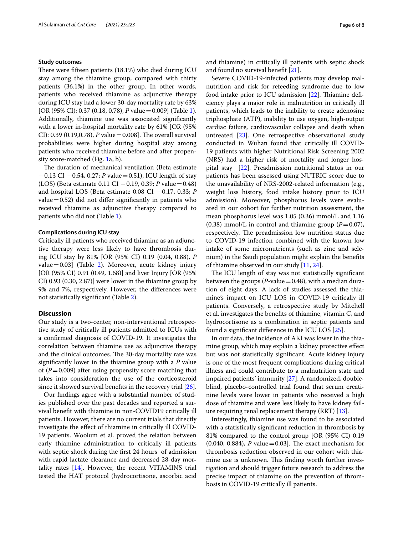#### **Study outcomes**

There were fifteen patients  $(18.1%)$  who died during ICU stay among the thiamine group, compared with thirty patients (36.1%) in the other group. In other words, patients who received thiamine as adjunctive therapy during ICU stay had a lower 30-day mortality rate by 63% [OR (95% CI): 0.37 (0.18, 0.78), *P* value = 0.009] (Table [1](#page-3-0)). Additionally, thiamine use was associated signifcantly with a lower in-hospital mortality rate by 61% [OR (95% CI): 0.39 (0.19,0.78),  $P$  value = 0.008]. The overall survival probabilities were higher during hospital stay among patients who received thiamine before and after propensity score-matched (Fig. [1](#page-6-1)a, b).

The duration of mechanical ventilation (Beta estimate −0.13 CI −0.54, 0.27; *P* value=0.51), ICU length of stay (LOS) (Beta estimate 0.11 CI −0.19, 0.39; *P* value=0.48) and hospital LOS (Beta estimate 0.08 CI −0.17, 0.33; *P* value  $=0.52$ ) did not differ significantly in patients who received thiamine as adjunctive therapy compared to patients who did not (Table [1\)](#page-3-0).

## **Complications during ICU stay**

Critically ill patients who received thiamine as an adjunctive therapy were less likely to have thrombosis during ICU stay by 81% [OR (95% CI) 0.19 (0.04, 0.88), *P* value=0.03] (Table [2](#page-4-0)). Moreover, acute kidney injury [OR (95% CI) 0.91 (0.49, 1.68)] and liver Injury [OR (95% CI) 0.93 (0.30, 2.87)] were lower in the thiamine group by 9% and 7%, respectively. However, the diferences were not statistically signifcant (Table [2](#page-4-0)).

# **Discussion**

Our study is a two-center, non-interventional retrospective study of critically ill patients admitted to ICUs with a confrmed diagnosis of COVID-19. It investigates the correlation between thiamine use as adjunctive therapy and the clinical outcomes. The 30-day mortality rate was signifcantly lower in the thiamine group with a *P* value of  $(P=0.009)$  after using propensity score matching that takes into consideration the use of the corticosteroid since it showed survival benefts in the recovery trial [\[26](#page-7-15)].

Our fndings agree with a substantial number of studies published over the past decades and reported a survival beneft with thiamine in non-COVID19 critically ill patients. However, there are no current trials that directly investigate the efect of thiamine in critically ill COVID-19 patients. Woolum et al. proved the relation between early thiamine administration to critically ill patients with septic shock during the frst 24 hours of admission with rapid lactate clearance and decreased 28-day mortality rates [[14](#page-7-10)]. However, the recent VITAMINS trial tested the HAT protocol (hydrocortisone, ascorbic acid and thiamine) in critically ill patients with septic shock and found no survival beneft [[21\]](#page-7-16).

Severe COVID-19-infected patients may develop malnutrition and risk for refeeding syndrome due to low food intake prior to ICU admission  $[22]$  $[22]$ . Thiamine deficiency plays a major role in malnutrition in critically ill patients, which leads to the inability to create adenosine triphosphate (ATP), inability to use oxygen, high-output cardiac failure, cardiovascular collapse and death when untreated [[23\]](#page-7-18). One retrospective observational study conducted in Wuhan found that critically ill COVID-19 patients with higher Nutritional Risk Screening 2002 (NRS) had a higher risk of mortality and longer hospital stay  $[22]$  $[22]$  $[22]$ . Preadmission nutritional status in our patients has been assessed using NUTRIC score due to the unavailability of NRS-2002-related information (e.g., weight loss history, food intake history prior to ICU admission). Moreover, phosphorus levels were evaluated in our cohort for further nutrition assessment, the mean phosphorus level was 1.05 (0.36) mmol/L and 1.16  $(0.38)$  mmol/L in control and thiamine group  $(P=0.07)$ , respectively. The preadmission low nutrition status due to COVID-19 infection combined with the known low intake of some micronutrients (such as zinc and selenium) in the Saudi population might explain the benefts of thiamine observed in our study [[11,](#page-7-19) [24](#page-7-20)].

The ICU length of stay was not statistically significant between the groups (*P*-value  $=$  0.48), with a median duration of eight days. A lack of studies assessed the thiamine's impact on ICU LOS in COVID-19 critically ill patients. Conversely, a retrospective study by Mitchell et al. investigates the benefts of thiamine, vitamin C, and hydrocortisone as a combination in septic patients and found a signifcant diference in the ICU LOS [[25](#page-7-21)].

In our data, the incidence of AKI was lower in the thiamine group, which may explain a kidney protective efect but was not statistically signifcant. Acute kidney injury is one of the most frequent complications during critical illness and could contribute to a malnutrition state and impaired patients' immunity [\[27](#page-7-22)]. A randomized, doubleblind, placebo-controlled trial found that serum creatinine levels were lower in patients who received a high dose of thiamine and were less likely to have kidney failure requiring renal replacement therapy (RRT) [[13](#page-7-8)].

Interestingly, thiamine use was found to be associated with a statistically signifcant reduction in thrombosis by 81% compared to the control group [OR (95% CI) 0.19  $(0.040, 0.884), P$  value = 0.03]. The exact mechanism for thrombosis reduction observed in our cohort with thiamine use is unknown. This finding worth further investigation and should trigger future research to address the precise impact of thiamine on the prevention of thrombosis in COVID-19 critically ill patients.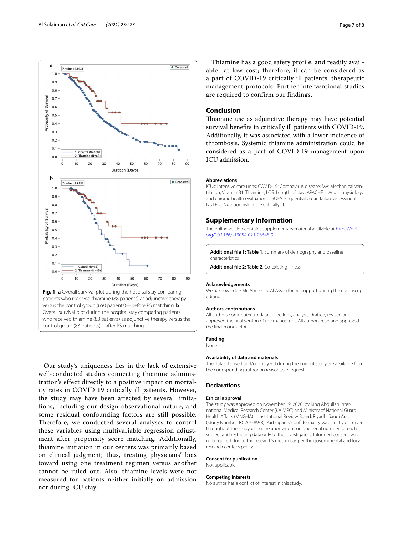

<span id="page-6-1"></span>Our study's uniqueness lies in the lack of extensive well-conducted studies connecting thiamine administration's effect directly to a positive impact on mortality rates in COVID 19 critically ill patients. However, the study may have been affected by several limitations, including our design observational nature, and some residual confounding factors are still possible. Therefore, we conducted several analyses to control these variables using multivariable regression adjustment after propensity score matching. Additionally, thiamine initiation in our centers was primarily based on clinical judgment; thus, treating physicians' bias toward using one treatment regimen versus another cannot be ruled out. Also, thiamine levels were not measured for patients neither initially on admission nor during ICU stay.

Thiamine has a good safety profile, and readily available at low cost; therefore, it can be considered as a part of COVID-19 critically ill patients' therapeutic management protocols. Further interventional studies are required to confirm our findings.

# **Conclusion**

Thiamine use as adjunctive therapy may have potential survival benefts in critically ill patients with COVID-19. Additionally, it was associated with a lower incidence of thrombosis. Systemic thiamine administration could be considered as a part of COVID-19 management upon ICU admission.

## **Abbreviations**

ICUs: Intensive care units; COVID-19: Coronavirus disease; MV: Mechanical ventilation; Vitamin B1: Thiamine; LOS: Length of stay; APACHE II: Acute physiology and chronic health evaluation II; SOFA: Sequential organ failure assessment; NUTRIC: Nutrition risk in the critically ill.

#### **Supplementary Information**

The online version contains supplementary material available at [https://doi.](https://doi.org/10.1186/s13054-021-03648-9) [org/10.1186/s13054-021-03648-9](https://doi.org/10.1186/s13054-021-03648-9).

<span id="page-6-0"></span>**Additional fle 1: Table 1**. Summary of demography and baseline characteristics

**Additional fle 2: Table 2**. Co-existing illness

#### **Acknowledgements**

We acknowledge Mr. Ahmed S. Al Asseri for his support during the manuscript editing.

#### **Authors' contributions**

All authors contributed to data collections, analysis, drafted, revised and approved the fnal version of the manuscript. All authors read and approved the fnal manuscript.

# **Funding**

None.

#### **Availability of data and materials**

The datasets used and/or analyzed during the current study are available from the corresponding author on reasonable request.

# **Declarations**

## **Ethical approval**

The study was approved on November 19, 2020, by King Abdullah International Medical Research Center (KAIMRC) and Ministry of National Guard Health Afairs (MNGHA)—Institutional Review Board, Riyadh, Saudi Arabia (Study Number: RC20/589/R). Participants' confdentiality was strictly observed throughout the study using the anonymous unique serial number for each subject and restricting data only to the investigators. Informed consent was not required due to the research's method as per the governmental and local research center's policy.

#### **Consent for publication**

Not applicable.

#### **Competing interests**

No author has a confict of interest in this study.